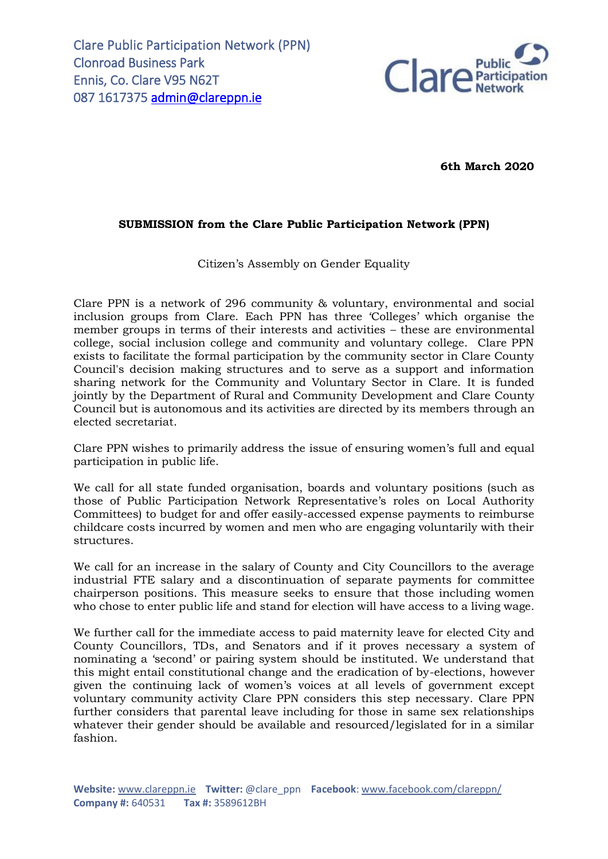

**6th March 2020**

## **SUBMISSION from the Clare Public Participation Network (PPN)**

Citizen's Assembly on Gender Equality

Clare PPN is a network of 296 community & voluntary, environmental and social inclusion groups from Clare. Each PPN has three 'Colleges' which organise the member groups in terms of their interests and activities – these are environmental college, social inclusion college and community and voluntary college. Clare PPN exists to facilitate the formal participation by the community sector in Clare County Council's decision making structures and to serve as a support and information sharing network for the Community and Voluntary Sector in Clare. It is funded jointly by the Department of Rural and Community Development and Clare County Council but is autonomous and its activities are directed by its members through an elected secretariat.

Clare PPN wishes to primarily address the issue of ensuring women's full and equal participation in public life.

We call for all state funded organisation, boards and voluntary positions (such as those of Public Participation Network Representative's roles on Local Authority Committees) to budget for and offer easily-accessed expense payments to reimburse childcare costs incurred by women and men who are engaging voluntarily with their structures.

We call for an increase in the salary of County and City Councillors to the average industrial FTE salary and a discontinuation of separate payments for committee chairperson positions. This measure seeks to ensure that those including women who chose to enter public life and stand for election will have access to a living wage.

We further call for the immediate access to paid maternity leave for elected City and County Councillors, TDs, and Senators and if it proves necessary a system of nominating a 'second' or pairing system should be instituted. We understand that this might entail constitutional change and the eradication of by-elections, however given the continuing lack of women's voices at all levels of government except voluntary community activity Clare PPN considers this step necessary. Clare PPN further considers that parental leave including for those in same sex relationships whatever their gender should be available and resourced/legislated for in a similar fashion.